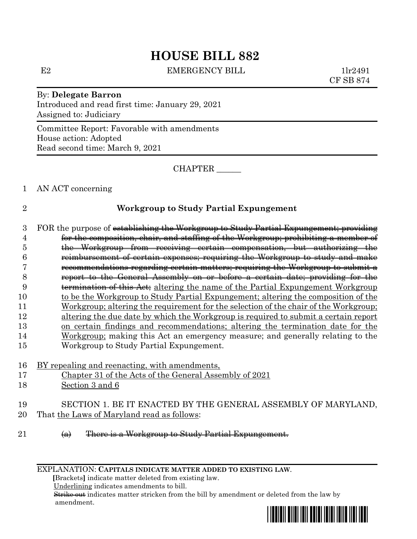## **HOUSE BILL 882**

E2 EMERGENCY BILL 1lr2491

CF SB 874

By: **Delegate Barron** Introduced and read first time: January 29, 2021 Assigned to: Judiciary

Committee Report: Favorable with amendments House action: Adopted Read second time: March 9, 2021

CHAPTER \_\_\_\_\_\_

1 AN ACT concerning

## 2 **Workgroup to Study Partial Expungement**

3 FOR the purpose of establishing the Workgroup to Study Partial Expungement; providing for the composition, chair, and staffing of the Workgroup; prohibiting a member of the Workgroup from receiving certain compensation, but authorizing the reimbursement of certain expenses; requiring the Workgroup to study and make recommendations regarding certain matters; requiring the Workgroup to submit a report to the General Assembly on or before a certain date; providing for the 9 termination of this Act: altering the name of the Partial Expungement Workgroup to be the Workgroup to Study Partial Expungement; altering the composition of the Workgroup; altering the requirement for the selection of the chair of the Workgroup; altering the due date by which the Workgroup is required to submit a certain report on certain findings and recommendations; altering the termination date for the Workgroup; making this Act an emergency measure; and generally relating to the Workgroup to Study Partial Expungement.

16 BY repealing and reenacting, with amendments,

- 17 Chapter 31 of the Acts of the General Assembly of 2021
- 18 Section 3 and 6

19 SECTION 1. BE IT ENACTED BY THE GENERAL ASSEMBLY OF MARYLAND, 20 That the Laws of Maryland read as follows:

21 (a) There is a Workgroup to Study Partial Expungement.

EXPLANATION: **CAPITALS INDICATE MATTER ADDED TO EXISTING LAW**.

 **[**Brackets**]** indicate matter deleted from existing law.

Underlining indicates amendments to bill.

 Strike out indicates matter stricken from the bill by amendment or deleted from the law by amendment.

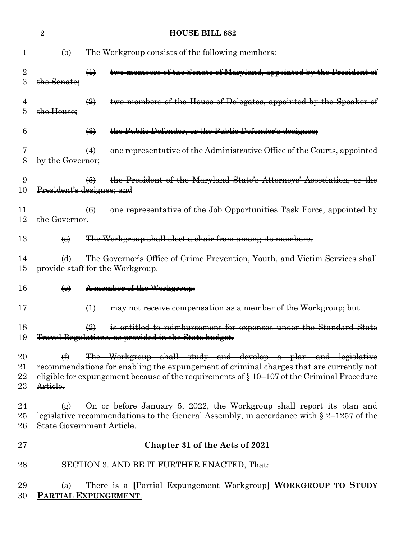|              | $\overline{2}$             | <b>HOUSE BILL 882</b>                                                                                                                                    |
|--------------|----------------------------|----------------------------------------------------------------------------------------------------------------------------------------------------------|
| 1            | $\bigoplus$                | The Workgroup consists of the following members:                                                                                                         |
|              |                            |                                                                                                                                                          |
| 2<br>3       | the Senate:                | two members of the Senate of Maryland, appointed by the President of<br>$\bigoplus$                                                                      |
| 4<br>5       | the House;                 | two members of the House of Delegates, appointed by the Speaker of<br>$\left(\frac{1}{2}\right)$                                                         |
| 6            |                            | $\left(\frac{1}{2}\right)$<br>the Public Defender, or the Public Defender's designee;                                                                    |
| 8            | by the Governor:           | one representative of the Administrative Office of the Courts, appointed<br>$\leftrightarrow$                                                            |
| 9<br>10      |                            | the President of the Maryland State's Attorneys' Association, or the<br>$\bigoplus$<br>President's designee; and                                         |
| 11<br>12     | the Governor.              | one representative of the Job Opportunities Task Force, appointed by<br>$\left( 6 \right)$                                                               |
| 13           | $\Theta$                   | The Workgroup shall elect a chair from among its members.                                                                                                |
| 14           | $\bigoplus$                | The Governor's Office of Crime Prevention, Youth, and Victim Services shall                                                                              |
| $15\,$       |                            | provide staff for the Workgroup.                                                                                                                         |
| 16           | $\left(\mathbf{e}\right)$  | A member of the Workgroup:                                                                                                                               |
| 17           |                            | $\bigoplus$<br>may not receive compensation as a member of the Workgroup; but                                                                            |
| 18<br>19     |                            | is entitled to reimbursement for expenses under the Standard State<br>$\left(\frac{2}{2}\right)$<br>Travel Regulations, as provided in the State budget. |
| 20           | ⊕                          | The Workgroup shall study and develop a plan and legislative                                                                                             |
| 21           |                            | recommendations for enabling the expungement of criminal charges that are currently not                                                                  |
| 22<br>$23\,$ | Article.                   | eligible for expungement because of the requirements of § 10-107 of the Criminal Procedure                                                               |
|              |                            |                                                                                                                                                          |
| 24           | $\left( \bigoplus \right)$ | On or before January 5, 2022, the Workgroup shall report its plan and                                                                                    |
| $25\,$       |                            | legislative recommendations to the General Assembly, in accordance with § 2-1257 of the                                                                  |
| 26           |                            | State Government Article.                                                                                                                                |
| $\rm 27$     |                            | <b>Chapter 31 of the Acts of 2021</b>                                                                                                                    |
| $28\,$       |                            | SECTION 3. AND BE IT FURTHER ENACTED, That:                                                                                                              |
| 29           | (a)                        | <u>There is a [Partial Expungement Workgroup] WORKGROUP TO STUDY</u>                                                                                     |
| 30           |                            | PARTIAL EXPUNGEMENT.                                                                                                                                     |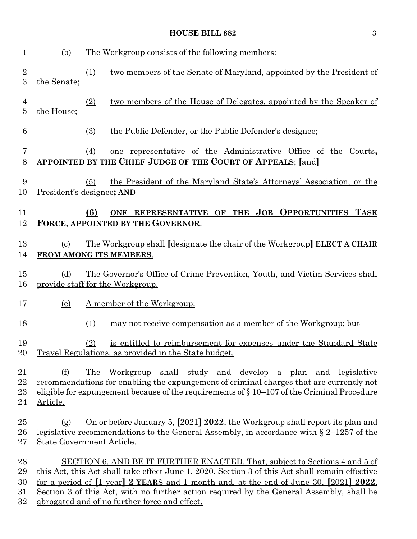## **HOUSE BILL 882** 3

| $\mathbf{1}$                     | (b)                        | The Workgroup consists of the following members:                                                                                                                                                                                                                                                                                                                                                                                                        |
|----------------------------------|----------------------------|---------------------------------------------------------------------------------------------------------------------------------------------------------------------------------------------------------------------------------------------------------------------------------------------------------------------------------------------------------------------------------------------------------------------------------------------------------|
| $\boldsymbol{2}$<br>3            | the Senate;                | (1)<br>two members of the Senate of Maryland, appointed by the President of                                                                                                                                                                                                                                                                                                                                                                             |
| $\overline{4}$<br>$\overline{5}$ | the House;                 | (2)<br>two members of the House of Delegates, appointed by the Speaker of                                                                                                                                                                                                                                                                                                                                                                               |
| 6                                |                            | (3)<br>the Public Defender, or the Public Defender's designee;                                                                                                                                                                                                                                                                                                                                                                                          |
| $\overline{7}$<br>8              |                            | (4)<br>one representative of the Administrative Office of the Courts,<br><b>APPOINTED BY THE CHIEF JUDGE OF THE COURT OF APPEALS; [and]</b>                                                                                                                                                                                                                                                                                                             |
| 9<br>10                          |                            | the President of the Maryland State's Attorneys' Association, or the<br>(5)<br>President's designee; AND                                                                                                                                                                                                                                                                                                                                                |
| 11<br>12                         |                            | THE JOB OPPORTUNITIES TASK<br>(6)<br>ONE REPRESENTATIVE OF<br>FORCE, APPOINTED BY THE GOVERNOR.                                                                                                                                                                                                                                                                                                                                                         |
| 13<br>14                         | $\left( \mathrm{c}\right)$ | <u>The Workgroup shall [designate the chair of the Workgroup] ELECT A CHAIR</u><br>FROM AMONG ITS MEMBERS.                                                                                                                                                                                                                                                                                                                                              |
| 15<br>16                         | (d)                        | The Governor's Office of Crime Prevention, Youth, and Victim Services shall<br>provide staff for the Workgroup.                                                                                                                                                                                                                                                                                                                                         |
| 17                               | (e)                        | A member of the Workgroup:                                                                                                                                                                                                                                                                                                                                                                                                                              |
| 18                               |                            | may not receive compensation as a member of the Workgroup; but<br>(1)                                                                                                                                                                                                                                                                                                                                                                                   |
| 19<br>20                         |                            | (2)<br>is entitled to reimbursement for expenses under the Standard State<br>Travel Regulations, as provided in the State budget.                                                                                                                                                                                                                                                                                                                       |
| 21<br>22<br>23<br>24             | (f)<br>Article.            | The Workgroup shall study and develop a plan and legislative<br>recommendations for enabling the expungement of criminal charges that are currently not<br>eligible for expungement because of the requirements of $\S 10-107$ of the Criminal Procedure                                                                                                                                                                                                |
| 25<br>26<br>27                   | (g)                        | On or before January 5, [2021] 2022, the Workgroup shall report its plan and<br>legislative recommendations to the General Assembly, in accordance with $\S 2-1257$ of the<br>State Government Article.                                                                                                                                                                                                                                                 |
| 28<br>29<br>30<br>31<br>32       |                            | SECTION 6. AND BE IT FURTHER ENACTED, That, subject to Sections 4 and 5 of<br>this Act, this Act shall take effect June 1, 2020. Section 3 of this Act shall remain effective<br>for a period of $\lceil 1 \text{ year} \rceil$ 2 YEARS and 1 month and, at the end of June 30, $\lceil 2021 \rceil$ 2022,<br>Section 3 of this Act, with no further action required by the General Assembly, shall be<br>abrogated and of no further force and effect. |